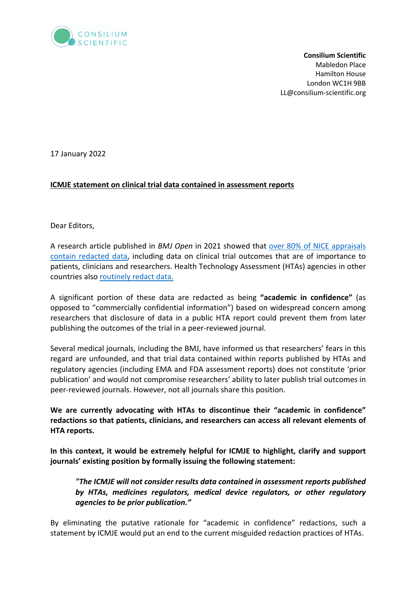

**Consilium Scientific** Mabledon Place Hamilton House London WC1H 9BB LL@consilium-scientific.org

17 January 2022

## **ICMJE statement on clinical trial data contained in assessment reports**

Dear Editors,

A research article published in *BMJ Open* in 2021 showed that over 80% of NICE appraisals contain redacted data, including data on clinical trial outcomes that are of importance to patients, clinicians and researchers. Health Technology Assessment (HTAs) agencies in other countries also routinely redact data.

A significant portion of these data are redacted as being **"academic in confidence"** (as opposed to "commercially confidential information") based on widespread concern among researchers that disclosure of data in a public HTA report could prevent them from later publishing the outcomes of the trial in a peer-reviewed journal.

Several medical journals, including the BMJ, have informed us that researchers' fears in this regard are unfounded, and that trial data contained within reports published by HTAs and regulatory agencies (including EMA and FDA assessment reports) does not constitute 'prior publication' and would not compromise researchers' ability to later publish trial outcomes in peer-reviewed journals. However, not all journals share this position.

**We are currently advocating with HTAs to discontinue their "academic in confidence" redactions so that patients, clinicians, and researchers can access all relevant elements of HTA reports.** 

**In this context, it would be extremely helpful for ICMJE to highlight, clarify and support journals' existing position by formally issuing the following statement:**

*"The ICMJE will not consider results data contained in assessment reports published by HTAs, medicines regulators, medical device regulators, or other regulatory agencies to be prior publication."*

By eliminating the putative rationale for "academic in confidence" redactions, such a statement by ICMJE would put an end to the current misguided redaction practices of HTAs.